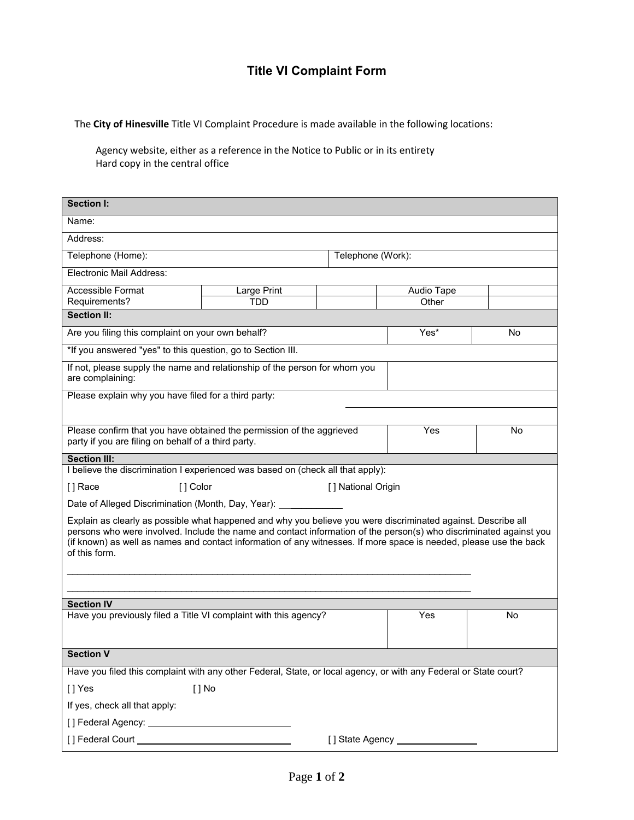## **Title VI Complaint Form**

The **City of Hinesville** Title VI Complaint Procedure is made available in the following locations:

Agency website, either as a reference in the Notice to Public or in its entirety Hard copy in the central office

| <b>Section I:</b>                                                                                                                                                                                                                                                                                                                                                          |                     |  |                   |    |  |
|----------------------------------------------------------------------------------------------------------------------------------------------------------------------------------------------------------------------------------------------------------------------------------------------------------------------------------------------------------------------------|---------------------|--|-------------------|----|--|
| Name:                                                                                                                                                                                                                                                                                                                                                                      |                     |  |                   |    |  |
| Address:                                                                                                                                                                                                                                                                                                                                                                   |                     |  |                   |    |  |
| Telephone (Home):                                                                                                                                                                                                                                                                                                                                                          |                     |  | Telephone (Work): |    |  |
| Electronic Mail Address:                                                                                                                                                                                                                                                                                                                                                   |                     |  |                   |    |  |
| Accessible Format                                                                                                                                                                                                                                                                                                                                                          | Large Print         |  | Audio Tape        |    |  |
| Requirements?<br><b>Section II:</b>                                                                                                                                                                                                                                                                                                                                        | TDD                 |  | Other             |    |  |
|                                                                                                                                                                                                                                                                                                                                                                            |                     |  |                   |    |  |
| Are you filing this complaint on your own behalf?                                                                                                                                                                                                                                                                                                                          |                     |  | Yes*              | No |  |
| *If you answered "yes" to this question, go to Section III.                                                                                                                                                                                                                                                                                                                |                     |  |                   |    |  |
| If not, please supply the name and relationship of the person for whom you<br>are complaining:                                                                                                                                                                                                                                                                             |                     |  |                   |    |  |
| Please explain why you have filed for a third party:                                                                                                                                                                                                                                                                                                                       |                     |  |                   |    |  |
|                                                                                                                                                                                                                                                                                                                                                                            |                     |  |                   |    |  |
| Please confirm that you have obtained the permission of the aggrieved<br>party if you are filing on behalf of a third party.                                                                                                                                                                                                                                               |                     |  | Yes               | No |  |
| <b>Section III:</b>                                                                                                                                                                                                                                                                                                                                                        |                     |  |                   |    |  |
| I believe the discrimination I experienced was based on (check all that apply):                                                                                                                                                                                                                                                                                            |                     |  |                   |    |  |
| [] Race<br>[] Color                                                                                                                                                                                                                                                                                                                                                        | [ ] National Origin |  |                   |    |  |
| Date of Alleged Discrimination (Month, Day, Year): ________                                                                                                                                                                                                                                                                                                                |                     |  |                   |    |  |
| Explain as clearly as possible what happened and why you believe you were discriminated against. Describe all<br>persons who were involved. Include the name and contact information of the person(s) who discriminated against you<br>(if known) as well as names and contact information of any witnesses. If more space is needed, please use the back<br>of this form. |                     |  |                   |    |  |
|                                                                                                                                                                                                                                                                                                                                                                            |                     |  |                   |    |  |
| <b>Section IV</b>                                                                                                                                                                                                                                                                                                                                                          |                     |  |                   |    |  |
| Have you previously filed a Title VI complaint with this agency?                                                                                                                                                                                                                                                                                                           |                     |  | Yes               | No |  |
|                                                                                                                                                                                                                                                                                                                                                                            |                     |  |                   |    |  |
| <b>Section V</b>                                                                                                                                                                                                                                                                                                                                                           |                     |  |                   |    |  |
| Have you filed this complaint with any other Federal, State, or local agency, or with any Federal or State court?                                                                                                                                                                                                                                                          |                     |  |                   |    |  |
| [] Yes<br>$[ ]$ No                                                                                                                                                                                                                                                                                                                                                         |                     |  |                   |    |  |
| If yes, check all that apply:                                                                                                                                                                                                                                                                                                                                              |                     |  |                   |    |  |
|                                                                                                                                                                                                                                                                                                                                                                            |                     |  |                   |    |  |
| [] State Agency ________                                                                                                                                                                                                                                                                                                                                                   |                     |  |                   |    |  |